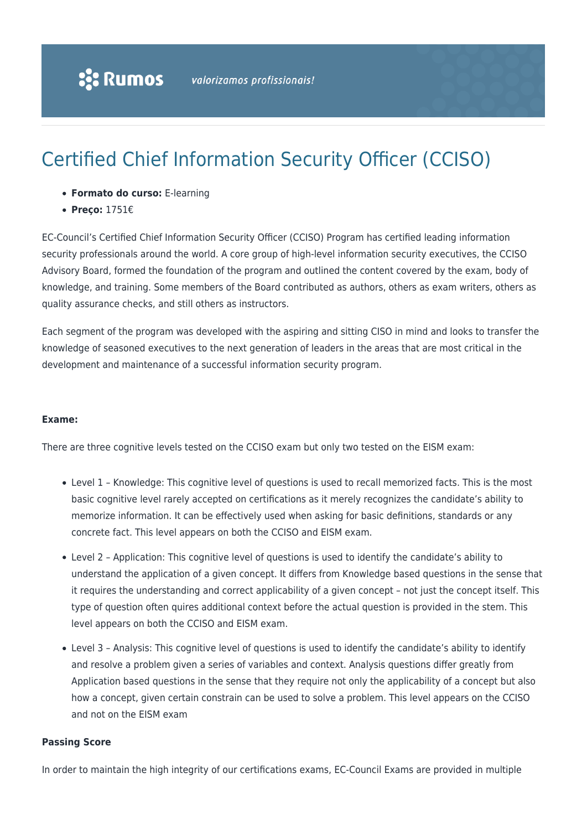# Certified Chief Information Security Officer (CCISO)

- **Formato do curso:** E-learning
- **Preço:** 1751€

EC-Council's Certified Chief Information Security Officer (CCISO) Program has certified leading information security professionals around the world. A core group of high-level information security executives, the CCISO Advisory Board, formed the foundation of the program and outlined the content covered by the exam, body of knowledge, and training. Some members of the Board contributed as authors, others as exam writers, others as quality assurance checks, and still others as instructors.

Each segment of the program was developed with the aspiring and sitting CISO in mind and looks to transfer the knowledge of seasoned executives to the next generation of leaders in the areas that are most critical in the development and maintenance of a successful information security program.

#### **Exame:**

There are three cognitive levels tested on the CCISO exam but only two tested on the EISM exam:

- Level 1 Knowledge: This cognitive level of questions is used to recall memorized facts. This is the most basic cognitive level rarely accepted on certifications as it merely recognizes the candidate's ability to memorize information. It can be effectively used when asking for basic definitions, standards or any concrete fact. This level appears on both the CCISO and EISM exam.
- Level 2 Application: This cognitive level of questions is used to identify the candidate's ability to understand the application of a given concept. It differs from Knowledge based questions in the sense that it requires the understanding and correct applicability of a given concept – not just the concept itself. This type of question often quires additional context before the actual question is provided in the stem. This level appears on both the CCISO and EISM exam.
- Level 3 Analysis: This cognitive level of questions is used to identify the candidate's ability to identify and resolve a problem given a series of variables and context. Analysis questions differ greatly from Application based questions in the sense that they require not only the applicability of a concept but also how a concept, given certain constrain can be used to solve a problem. This level appears on the CCISO and not on the EISM exam

#### **Passing Score**

In order to maintain the high integrity of our certifications exams, EC-Council Exams are provided in multiple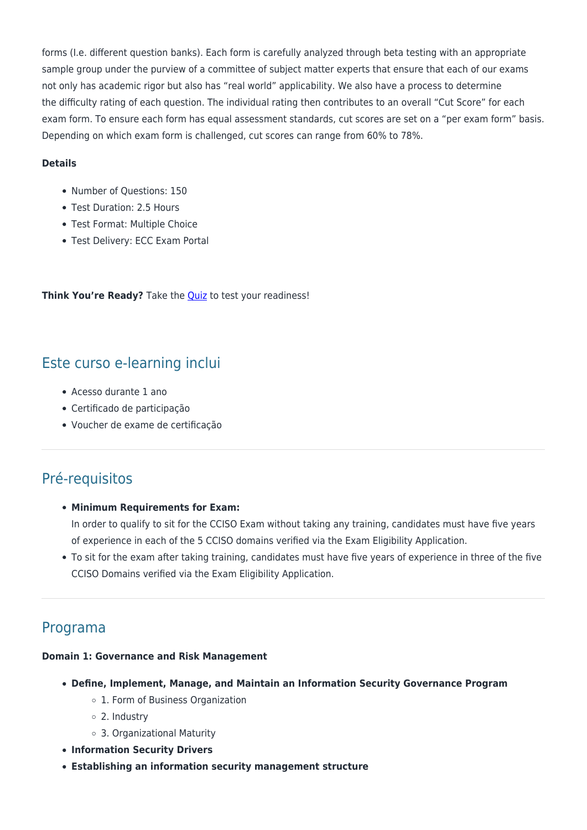forms (I.e. different question banks). Each form is carefully analyzed through beta testing with an appropriate sample group under the purview of a committee of subject matter experts that ensure that each of our exams not only has academic rigor but also has "real world" applicability. We also have a process to determine the difficulty rating of each question. The individual rating then contributes to an overall "Cut Score" for each exam form. To ensure each form has equal assessment standards, cut scores are set on a "per exam form" basis. Depending on which exam form is challenged, cut scores can range from 60% to 78%.

#### **Details**

- Number of Ouestions: 150
- Test Duration: 2.5 Hours
- Test Format: Multiple Choice
- Test Delivery: ECC Exam Portal

**Think You're Ready?** Take the [Quiz](https://iclass.eccouncil.org/iclass-courses/certified-chief-information-security-officer-cciso/cciso-readiness-quiz/) to test your readiness!

# Este curso e-learning inclui

- Acesso durante 1 ano
- Certificado de participação
- Voucher de exame de certificação

# Pré-requisitos

#### **Minimum Requirements for Exam:**

In order to qualify to sit for the CCISO Exam without taking any training, candidates must have five years of experience in each of the 5 CCISO domains verified via the Exam Eligibility Application.

To sit for the exam after taking training, candidates must have five years of experience in three of the five CCISO Domains verified via the Exam Eligibility Application.

# Programa

#### **Domain 1: Governance and Risk Management**

- **Define, Implement, Manage, and Maintain an Information Security Governance Program**
	- 1. Form of Business Organization
	- 2. Industry
	- 3. Organizational Maturity
- **Information Security Drivers**
- **Establishing an information security management structure**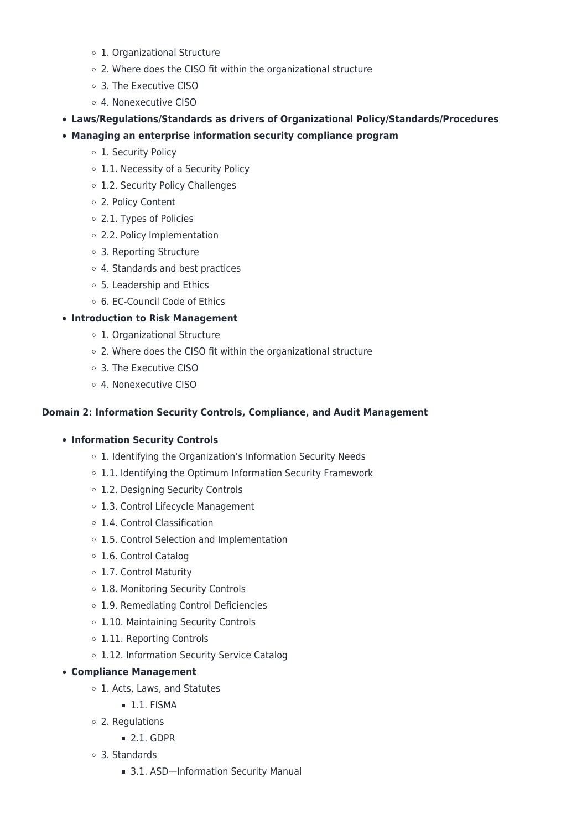- 1. Organizational Structure
- 2. Where does the CISO fit within the organizational structure
- 3. The Executive CISO
- 4. Nonexecutive CISO
- **Laws/Regulations/Standards as drivers of Organizational Policy/Standards/Procedures**
- **Managing an enterprise information security compliance program**
	- o 1. Security Policy
	- 1.1. Necessity of a Security Policy
	- 1.2. Security Policy Challenges
	- 2. Policy Content
	- 2.1. Types of Policies
	- 2.2. Policy Implementation
	- 3. Reporting Structure
	- 4. Standards and best practices
	- 5. Leadership and Ethics
	- 6. EC-Council Code of Ethics

## **Introduction to Risk Management**

- 1. Organizational Structure
- 2. Where does the CISO fit within the organizational structure
- 3. The Executive CISO
- 4. Nonexecutive CISO

#### **Domain 2: Information Security Controls, Compliance, and Audit Management**

#### **Information Security Controls**

- o 1. Identifying the Organization's Information Security Needs
- 1.1. Identifying the Optimum Information Security Framework
- o 1.2. Designing Security Controls
- 1.3. Control Lifecycle Management
- 1.4. Control Classification
- 1.5. Control Selection and Implementation
- 1.6. Control Catalog
- 1.7. Control Maturity
- 1.8. Monitoring Security Controls
- 1.9. Remediating Control Deficiencies
- o 1.10. Maintaining Security Controls
- o 1.11. Reporting Controls
- o 1.12. Information Security Service Catalog

#### **Compliance Management**

- 1. Acts, Laws, and Statutes
	- $-1.1.$  FISMA
- 2. Regulations
	- $= 2.1.$  GDPR
- 3. Standards
	- 3.1. ASD-Information Security Manual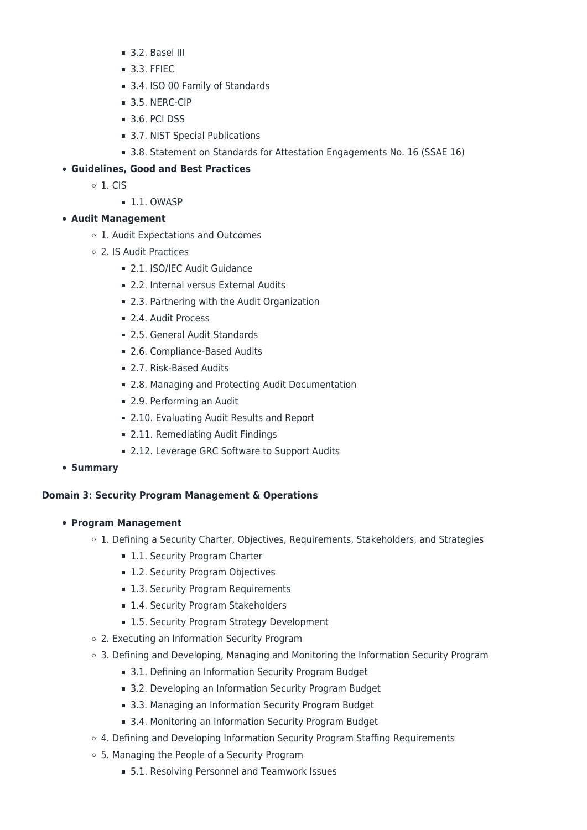- **3.2. Basel III**
- **3.3. FFIEC**
- 3.4. ISO 00 Family of Standards
- 3.5. NERC-CIP
- **3.6. PCI DSS**
- 3.7. NIST Special Publications
- 3.8. Statement on Standards for Attestation Engagements No. 16 (SSAE 16)

## **Guidelines, Good and Best Practices**

- $\circ$  1. CIS
	- $11.0WASP$

## **Audit Management**

- 1. Audit Expectations and Outcomes
- 2. IS Audit Practices
	- **2.1. ISO/IEC Audit Guidance**
	- 2.2. Internal versus External Audits
	- 2.3. Partnering with the Audit Organization
	- 2.4. Audit Process
	- 2.5. General Audit Standards
	- 2.6. Compliance-Based Audits
	- 2.7. Risk-Based Audits
	- 2.8. Managing and Protecting Audit Documentation
	- 2.9. Performing an Audit
	- 2.10. Evaluating Audit Results and Report
	- 2.11. Remediating Audit Findings
	- 2.12. Leverage GRC Software to Support Audits
- **Summary**

#### **Domain 3: Security Program Management & Operations**

- **Program Management**
	- $\circ$  1. Defining a Security Charter, Objectives, Requirements, Stakeholders, and Strategies
		- **1.1. Security Program Charter**
		- 1.2. Security Program Objectives
		- 1.3. Security Program Requirements
		- 1.4. Security Program Stakeholders
		- 1.5. Security Program Strategy Development
	- 2. Executing an Information Security Program
	- 3. Defining and Developing, Managing and Monitoring the Information Security Program
		- 3.1. Defining an Information Security Program Budget
		- 3.2. Developing an Information Security Program Budget
		- 3.3. Managing an Information Security Program Budget
		- 3.4. Monitoring an Information Security Program Budget
	- 4. Defining and Developing Information Security Program Staffing Requirements
	- 5. Managing the People of a Security Program
		- 5.1. Resolving Personnel and Teamwork Issues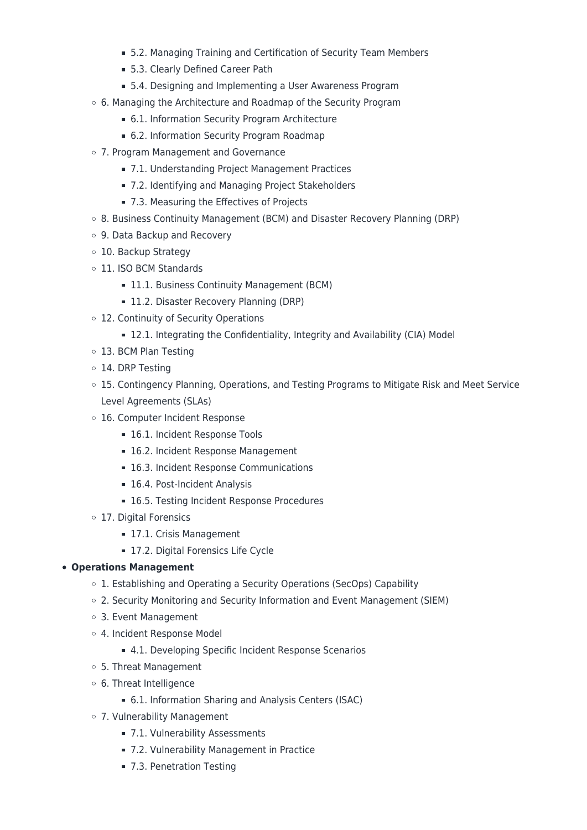- 5.2. Managing Training and Certification of Security Team Members
- 5.3. Clearly Defined Career Path
- 5.4. Designing and Implementing a User Awareness Program
- 6. Managing the Architecture and Roadmap of the Security Program
	- 6.1. Information Security Program Architecture
	- 6.2. Information Security Program Roadmap
- 7. Program Management and Governance
	- 7.1. Understanding Project Management Practices
	- 7.2. Identifying and Managing Project Stakeholders
	- 7.3. Measuring the Effectives of Projects
- 8. Business Continuity Management (BCM) and Disaster Recovery Planning (DRP)
- 9. Data Backup and Recovery
- 10. Backup Strategy
- o 11. ISO BCM Standards
	- **11.1. Business Continuity Management (BCM)**
	- **11.2. Disaster Recovery Planning (DRP)**
- o 12. Continuity of Security Operations
	- 12.1. Integrating the Confidentiality, Integrity and Availability (CIA) Model
- 13. BCM Plan Testing
- o 14. DRP Testing
- 15. Contingency Planning, Operations, and Testing Programs to Mitigate Risk and Meet Service Level Agreements (SLAs)
- 16. Computer Incident Response
	- 16.1. Incident Response Tools
	- 16.2. Incident Response Management
	- 16.3. Incident Response Communications
	- 16.4. Post-Incident Analysis
	- 16.5. Testing Incident Response Procedures
- 17. Digital Forensics
	- 17.1. Crisis Management
	- 17.2. Digital Forensics Life Cycle

# **Operations Management**

- o 1. Establishing and Operating a Security Operations (SecOps) Capability
- 2. Security Monitoring and Security Information and Event Management (SIEM)
- 3. Event Management
- 4. Incident Response Model
	- 4.1. Developing Specific Incident Response Scenarios
- 5. Threat Management
- 6. Threat Intelligence
	- 6.1. Information Sharing and Analysis Centers (ISAC)
- 7. Vulnerability Management
	- 7.1. Vulnerability Assessments
	- 7.2. Vulnerability Management in Practice
	- 7.3. Penetration Testing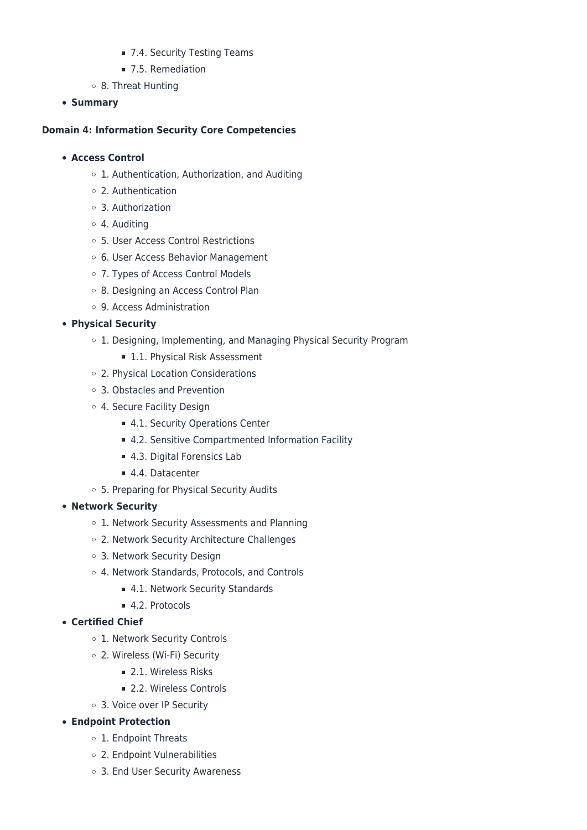- 7.4. Security Testing Teams
- 7.5. Remediation
- 8. Threat Hunting
- **Summary**

#### **Domain 4: Information Security Core Competencies**

#### **Access Control**

- 1. Authentication, Authorization, and Auditing
- 2. Authentication
- 3. Authorization
- 4. Auditing
- 5. User Access Control Restrictions
- 6. User Access Behavior Management
- 7. Types of Access Control Models
- o 8. Designing an Access Control Plan
- 9. Access Administration

## **Physical Security**

- o 1. Designing, Implementing, and Managing Physical Security Program
	- **1.1. Physical Risk Assessment**
- 2. Physical Location Considerations
- 3. Obstacles and Prevention
- 4. Secure Facility Design
	- 4.1. Security Operations Center
	- 4.2. Sensitive Compartmented Information Facility
	- 4.3. Digital Forensics Lab
	- 4.4. Datacenter
- 5. Preparing for Physical Security Audits

#### **Network Security**

- o 1. Network Security Assessments and Planning
- 2. Network Security Architecture Challenges
- 3. Network Security Design
- 4. Network Standards, Protocols, and Controls
	- 4.1. Network Security Standards
	- 4.2. Protocols

# **Certified Chief**

- o 1. Network Security Controls
- 2. Wireless (Wi-Fi) Security
	- **2.1. Wireless Risks**
	- 2.2. Wireless Controls
- 3. Voice over IP Security

# **Endpoint Protection**

- o 1. Endpoint Threats
- 2. Endpoint Vulnerabilities
- 3. End User Security Awareness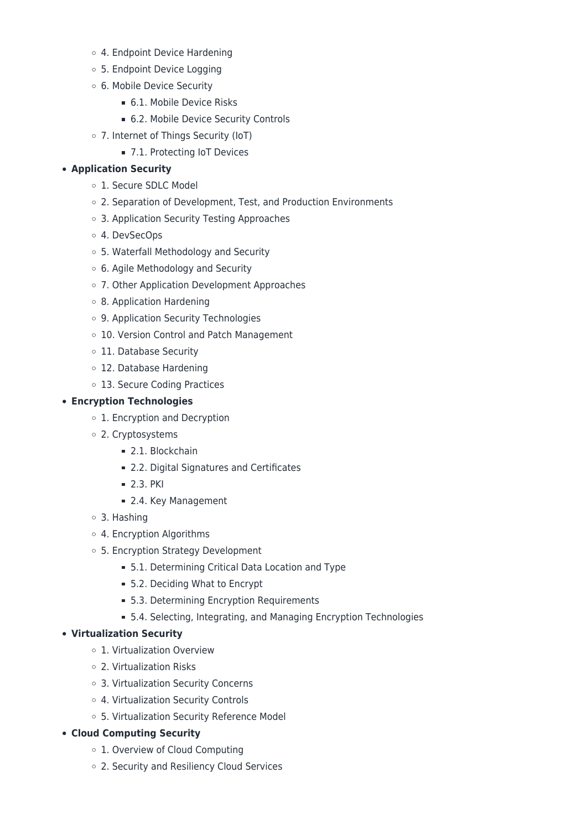- 4. Endpoint Device Hardening
- 5. Endpoint Device Logging
- 6. Mobile Device Security
	- 6.1. Mobile Device Risks
	- 6.2. Mobile Device Security Controls
- 7. Internet of Things Security (IoT)
	- 7.1. Protecting IoT Devices

#### **Application Security**

- 1. Secure SDLC Model
- 2. Separation of Development, Test, and Production Environments
- 3. Application Security Testing Approaches
- 4. DevSecOps
- 5. Waterfall Methodology and Security
- 6. Agile Methodology and Security
- 7. Other Application Development Approaches
- 8. Application Hardening
- 9. Application Security Technologies
- 10. Version Control and Patch Management
- o 11. Database Security
- 12. Database Hardening
- 13. Secure Coding Practices

#### **Encryption Technologies**

- o 1. Encryption and Decryption
- 2. Cryptosystems
	- 2.1. Blockchain
	- 2.2. Digital Signatures and Certificates
	- **2.3. PKI**
	- 2.4. Key Management
- 3. Hashing
- 4. Encryption Algorithms
- 5. Encryption Strategy Development
	- 5.1. Determining Critical Data Location and Type
	- 5.2. Deciding What to Encrypt
	- **5.3. Determining Encryption Requirements**
	- 5.4. Selecting, Integrating, and Managing Encryption Technologies

#### **Virtualization Security**

- 1. Virtualization Overview
- 2. Virtualization Risks
- 3. Virtualization Security Concerns
- 4. Virtualization Security Controls
- 5. Virtualization Security Reference Model

#### **Cloud Computing Security**

- 1. Overview of Cloud Computing
- 2. Security and Resiliency Cloud Services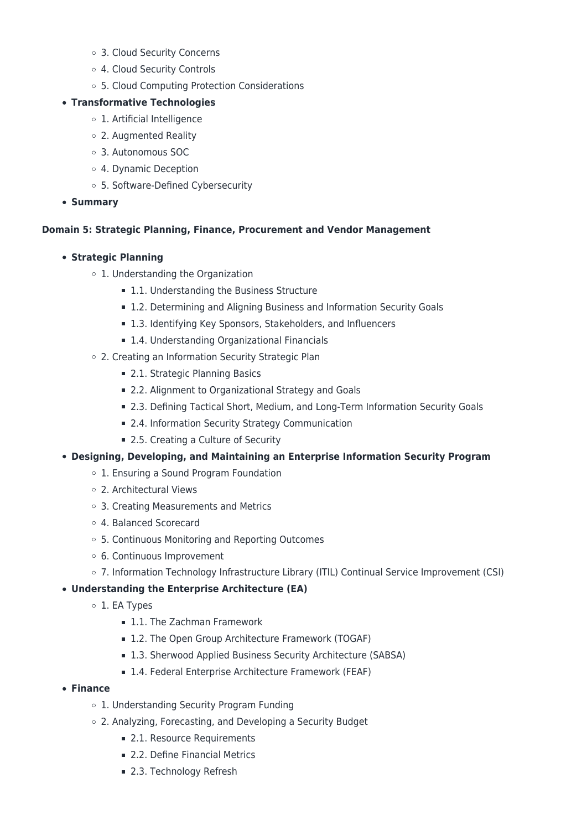- 3. Cloud Security Concerns
- 4. Cloud Security Controls
- 5. Cloud Computing Protection Considerations

## **Transformative Technologies**

- 1. Artificial Intelligence
- 2. Augmented Reality
- 3. Autonomous SOC
- 4. Dynamic Deception
- 5. Software-Defined Cybersecurity
- **Summary**

## **Domain 5: Strategic Planning, Finance, Procurement and Vendor Management**

## **Strategic Planning**

- 1. Understanding the Organization
	- 1.1. Understanding the Business Structure
	- 1.2. Determining and Aligning Business and Information Security Goals
	- 1.3. Identifying Key Sponsors, Stakeholders, and Influencers
	- 1.4. Understanding Organizational Financials
- 2. Creating an Information Security Strategic Plan
	- 2.1. Strategic Planning Basics
	- 2.2. Alignment to Organizational Strategy and Goals
	- 2.3. Defining Tactical Short, Medium, and Long-Term Information Security Goals
	- 2.4. Information Security Strategy Communication
	- 2.5. Creating a Culture of Security
- **Designing, Developing, and Maintaining an Enterprise Information Security Program**
	- 1. Ensuring a Sound Program Foundation
	- 2. Architectural Views
	- 3. Creating Measurements and Metrics
	- 4. Balanced Scorecard
	- 5. Continuous Monitoring and Reporting Outcomes
	- 6. Continuous Improvement
	- 7. Information Technology Infrastructure Library (ITIL) Continual Service Improvement (CSI)

# **Understanding the Enterprise Architecture (EA)**

- o 1. EA Types
	- **1.1. The Zachman Framework**
	- 1.2. The Open Group Architecture Framework (TOGAF)
	- 1.3. Sherwood Applied Business Security Architecture (SABSA)
	- 1.4. Federal Enterprise Architecture Framework (FEAF)

#### **Finance**

- 1. Understanding Security Program Funding
- 2. Analyzing, Forecasting, and Developing a Security Budget
	- 2.1. Resource Requirements
	- **2.2. Define Financial Metrics**
	- 2.3. Technology Refresh